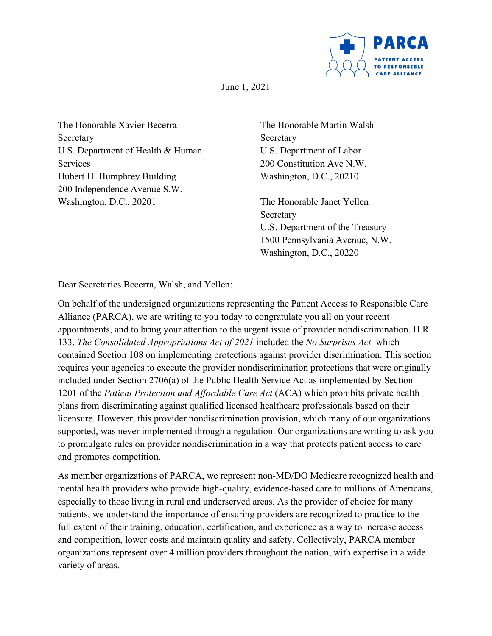

June 1, 2021

The Honorable Xavier Becerra Secretary U.S. Department of Health & Human Services Hubert H. Humphrey Building 200 Independence Avenue S.W. Washington, D.C., 20201

The Honorable Martin Walsh **Secretary** U.S. Department of Labor 200 Constitution Ave N.W. Washington, D.C., 20210

The Honorable Janet Yellen Secretary U.S. Department of the Treasury 1500 Pennsylvania Avenue, N.W. Washington, D.C., 20220

Dear Secretaries Becerra, Walsh, and Yellen:

On behalf of the undersigned organizations representing the Patient Access to Responsible Care Alliance (PARCA), we are writing to you today to congratulate you all on your recent appointments, and to bring your attention to the urgent issue of provider nondiscrimination. H.R. 133, *The Consolidated Appropriations Act of 2021* included the *No Surprises Act,* which contained Section 108 on implementing protections against provider discrimination. This section requires your agencies to execute the provider nondiscrimination protections that were originally included under Section 2706(a) of the Public Health Service Act as implemented by Section 1201 of the *Patient Protection and Affordable Care Act* (ACA) which prohibits private health plans from discriminating against qualified licensed healthcare professionals based on their licensure. However, this provider nondiscrimination provision, which many of our organizations supported, was never implemented through a regulation. Our organizations are writing to ask you to promulgate rules on provider nondiscrimination in a way that protects patient access to care and promotes competition.

As member organizations of PARCA, we represent non-MD/DO Medicare recognized health and mental health providers who provide high-quality, evidence-based care to millions of Americans, especially to those living in rural and underserved areas. As the provider of choice for many patients, we understand the importance of ensuring providers are recognized to practice to the full extent of their training, education, certification, and experience as a way to increase access and competition, lower costs and maintain quality and safety. Collectively, PARCA member organizations represent over 4 million providers throughout the nation, with expertise in a wide variety of areas.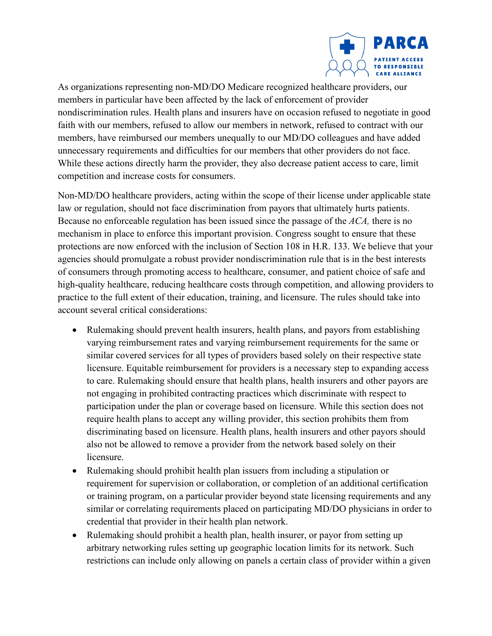

As organizations representing non-MD/DO Medicare recognized healthcare providers, our members in particular have been affected by the lack of enforcement of provider nondiscrimination rules. Health plans and insurers have on occasion refused to negotiate in good faith with our members, refused to allow our members in network, refused to contract with our members, have reimbursed our members unequally to our MD/DO colleagues and have added unnecessary requirements and difficulties for our members that other providers do not face. While these actions directly harm the provider, they also decrease patient access to care, limit competition and increase costs for consumers.

Non-MD/DO healthcare providers, acting within the scope of their license under applicable state law or regulation, should not face discrimination from payors that ultimately hurts patients. Because no enforceable regulation has been issued since the passage of the *ACA,* there is no mechanism in place to enforce this important provision. Congress sought to ensure that these protections are now enforced with the inclusion of Section 108 in H.R. 133. We believe that your agencies should promulgate a robust provider nondiscrimination rule that is in the best interests of consumers through promoting access to healthcare, consumer, and patient choice of safe and high-quality healthcare, reducing healthcare costs through competition, and allowing providers to practice to the full extent of their education, training, and licensure. The rules should take into account several critical considerations:

- Rulemaking should prevent health insurers, health plans, and payors from establishing varying reimbursement rates and varying reimbursement requirements for the same or similar covered services for all types of providers based solely on their respective state licensure. Equitable reimbursement for providers is a necessary step to expanding access to care. Rulemaking should ensure that health plans, health insurers and other payors are not engaging in prohibited contracting practices which discriminate with respect to participation under the plan or coverage based on licensure. While this section does not require health plans to accept any willing provider, this section prohibits them from discriminating based on licensure. Health plans, health insurers and other payors should also not be allowed to remove a provider from the network based solely on their licensure.
- Rulemaking should prohibit health plan issuers from including a stipulation or requirement for supervision or collaboration, or completion of an additional certification or training program, on a particular provider beyond state licensing requirements and any similar or correlating requirements placed on participating MD/DO physicians in order to credential that provider in their health plan network.
- Rulemaking should prohibit a health plan, health insurer, or payor from setting up arbitrary networking rules setting up geographic location limits for its network. Such restrictions can include only allowing on panels a certain class of provider within a given